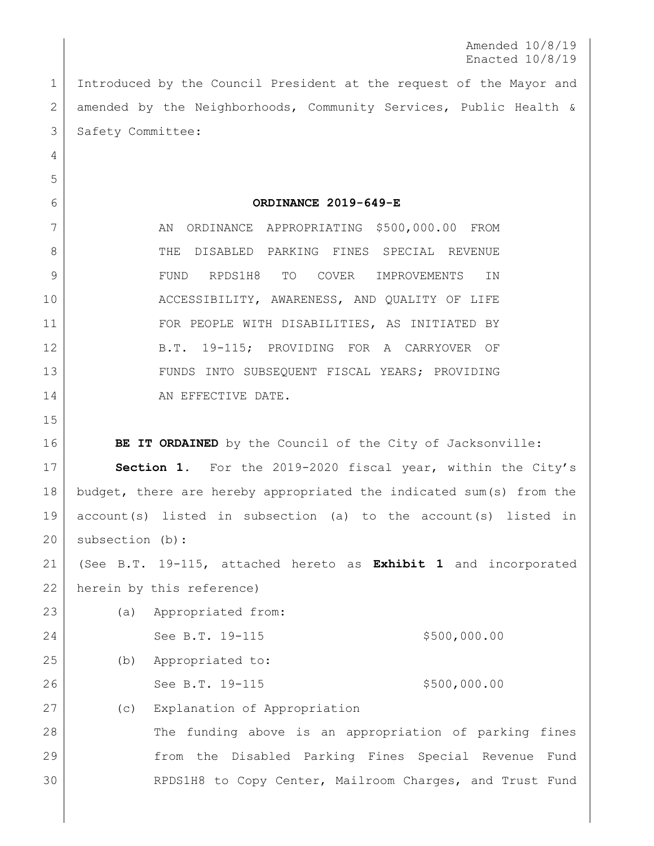Amended 10/8/19 Enacted 10/8/19

 Introduced by the Council President at the request of the Mayor and amended by the Neighborhoods, Community Services, Public Health & 3 | Safety Committee:

(a) Appropriated from:

**ORDINANCE 2019-649-E**

7 AN ORDINANCE APPROPRIATING \$500,000.00 FROM 8 THE DISABLED PARKING FINES SPECIAL REVENUE FUND RPDS1H8 TO COVER IMPROVEMENTS IN ACCESSIBILITY, AWARENESS, AND QUALITY OF LIFE 11 FOR PEOPLE WITH DISABILITIES, AS INITIATED BY 12 B.T. 19-115; PROVIDING FOR A CARRYOVER OF 13 FUNDS INTO SUBSEQUENT FISCAL YEARS; PROVIDING 14 AN EFFECTIVE DATE.

**BE IT ORDAINED** by the Council of the City of Jacksonville:

 **Section 1.** For the 2019-2020 fiscal year, within the City's budget, there are hereby appropriated the indicated sum(s) from the account(s) listed in subsection (a) to the account(s) listed in 20 | subsection (b):

 (See B.T. 19-115, attached hereto as **Exhibit 1** and incorporated herein by this reference)

| 24 |                                                          | See B.T. 19-115                                      | \$500,000.00 |
|----|----------------------------------------------------------|------------------------------------------------------|--------------|
| 25 | (b)                                                      | Appropriated to:                                     |              |
| 26 |                                                          | See B.T. 19-115                                      | \$500,000.00 |
| 27 | (C)                                                      | Explanation of Appropriation                         |              |
| 28 | The funding above is an appropriation of parking fines   |                                                      |              |
| 29 |                                                          | from the Disabled Parking Fines Special Revenue Fund |              |
| 30 | RPDS1H8 to Copy Center, Mailroom Charges, and Trust Fund |                                                      |              |